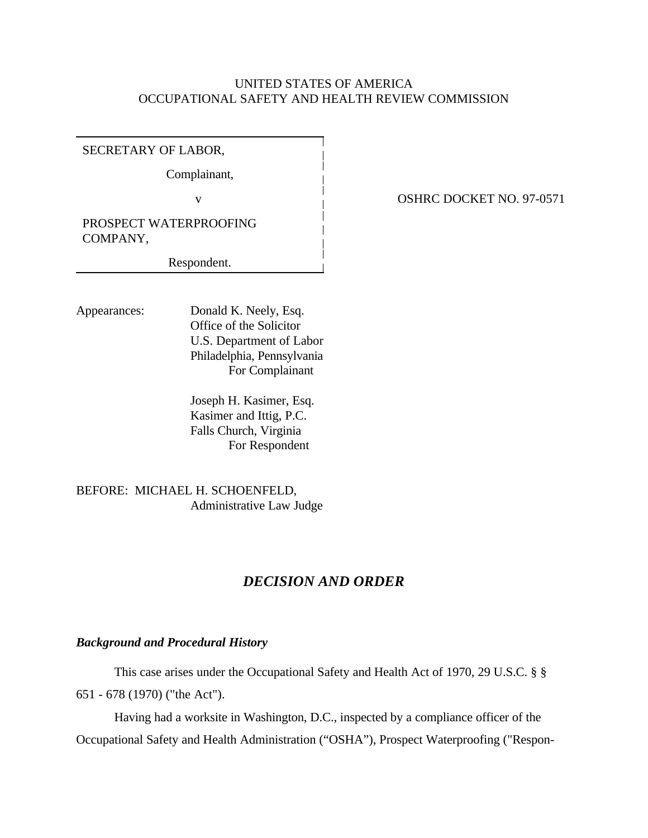### UNITED STATES OF AMERICA OCCUPATIONAL SAFETY AND HEALTH REVIEW COMMISSION

SECRETARY OF LABOR,

Complainant,

PROSPECT WATERPROOFING COMPANY,

Respondent.

Appearances: Donald K. Neely, Esq. Office of the Solicitor U.S. Department of Labor Philadelphia, Pennsylvania For Complainant

> Joseph H. Kasimer, Esq. Kasimer and Ittig, P.C. Falls Church, Virginia For Respondent

BEFORE: MICHAEL H. SCHOENFELD, Administrative Law Judge

# *DECISION AND ORDER*

### *Background and Procedural History*

This case arises under the Occupational Safety and Health Act of 1970, 29 U.S.C. § § 651 - 678 (1970) ("the Act").

Having had a worksite in Washington, D.C., inspected by a compliance officer of the Occupational Safety and Health Administration ("OSHA"), Prospect Waterproofing ("Respon-

v **OSHRC DOCKET NO. 97-0571**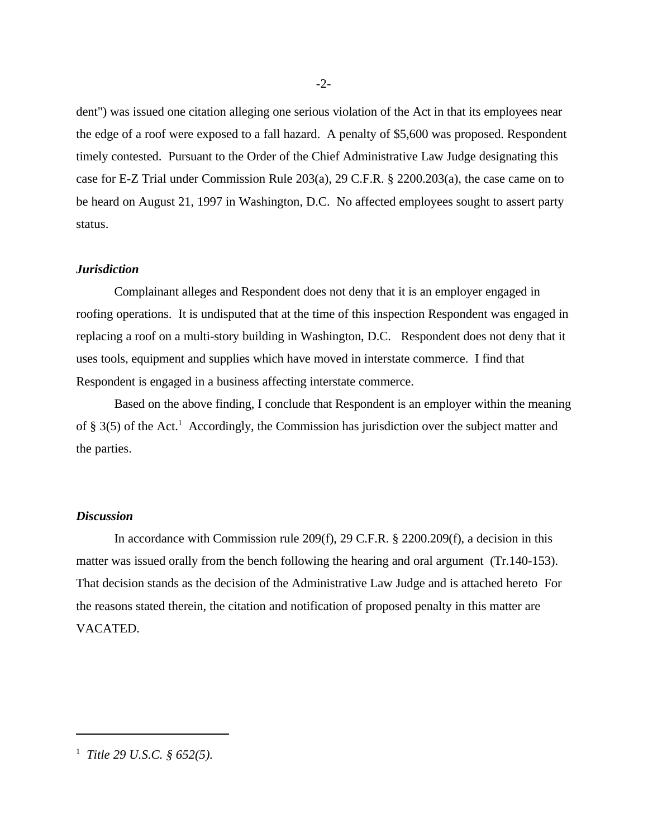dent") was issued one citation alleging one serious violation of the Act in that its employees near the edge of a roof were exposed to a fall hazard. A penalty of \$5,600 was proposed. Respondent timely contested. Pursuant to the Order of the Chief Administrative Law Judge designating this case for E-Z Trial under Commission Rule 203(a), 29 C.F.R. § 2200.203(a), the case came on to be heard on August 21, 1997 in Washington, D.C. No affected employees sought to assert party status.

#### *Jurisdiction*

Complainant alleges and Respondent does not deny that it is an employer engaged in roofing operations. It is undisputed that at the time of this inspection Respondent was engaged in replacing a roof on a multi-story building in Washington, D.C. Respondent does not deny that it uses tools, equipment and supplies which have moved in interstate commerce. I find that Respondent is engaged in a business affecting interstate commerce.

Based on the above finding, I conclude that Respondent is an employer within the meaning of § 3(5) of the Act.<sup>1</sup> Accordingly, the Commission has jurisdiction over the subject matter and the parties.

#### *Discussion*

In accordance with Commission rule 209(f), 29 C.F.R. § 2200.209(f), a decision in this matter was issued orally from the bench following the hearing and oral argument (Tr.140-153). That decision stands as the decision of the Administrative Law Judge and is attached hereto For the reasons stated therein, the citation and notification of proposed penalty in this matter are VACATED.

<sup>1</sup>  *Title 29 U.S.C. § 652(5).*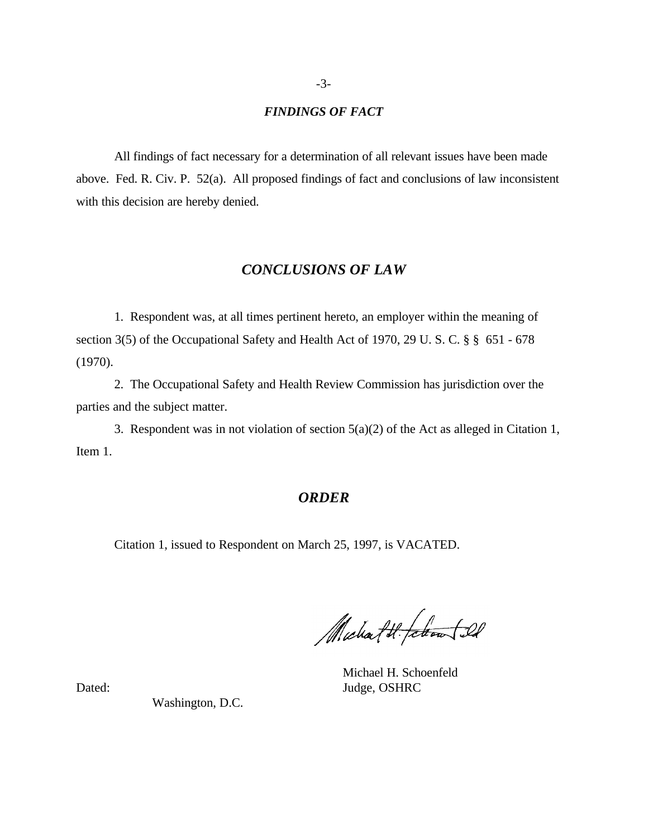#### *FINDINGS OF FACT*

All findings of fact necessary for a determination of all relevant issues have been made above. Fed. R. Civ. P. 52(a). All proposed findings of fact and conclusions of law inconsistent with this decision are hereby denied.

## *CONCLUSIONS OF LAW*

1. Respondent was, at all times pertinent hereto, an employer within the meaning of section 3(5) of the Occupational Safety and Health Act of 1970, 29 U. S. C. § § 651 - 678 (1970).

2. The Occupational Safety and Health Review Commission has jurisdiction over the parties and the subject matter.

3. Respondent was in not violation of section 5(a)(2) of the Act as alleged in Citation 1, Item 1.

## *ORDER*

Citation 1, issued to Respondent on March 25, 1997, is VACATED.

Michael H. febroar [22]

Michael H. Schoenfeld Dated: Judge, OSHRC

Washington, D.C.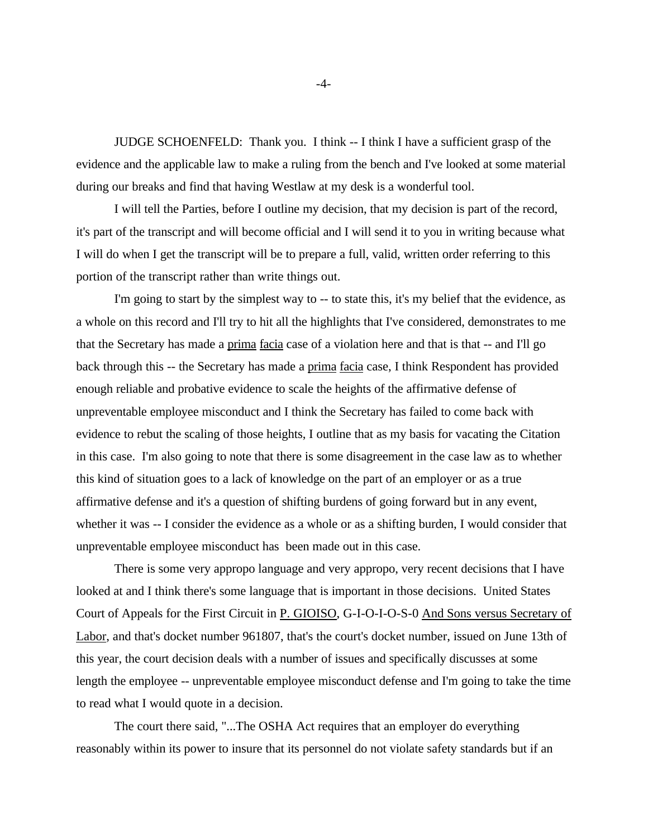JUDGE SCHOENFELD: Thank you. I think -- I think I have a sufficient grasp of the evidence and the applicable law to make a ruling from the bench and I've looked at some material during our breaks and find that having Westlaw at my desk is a wonderful tool.

I will tell the Parties, before I outline my decision, that my decision is part of the record, it's part of the transcript and will become official and I will send it to you in writing because what I will do when I get the transcript will be to prepare a full, valid, written order referring to this portion of the transcript rather than write things out.

I'm going to start by the simplest way to -- to state this, it's my belief that the evidence, as a whole on this record and I'll try to hit all the highlights that I've considered, demonstrates to me that the Secretary has made a prima facia case of a violation here and that is that -- and I'll go back through this -- the Secretary has made a prima facia case, I think Respondent has provided enough reliable and probative evidence to scale the heights of the affirmative defense of unpreventable employee misconduct and I think the Secretary has failed to come back with evidence to rebut the scaling of those heights, I outline that as my basis for vacating the Citation in this case. I'm also going to note that there is some disagreement in the case law as to whether this kind of situation goes to a lack of knowledge on the part of an employer or as a true affirmative defense and it's a question of shifting burdens of going forward but in any event, whether it was -- I consider the evidence as a whole or as a shifting burden, I would consider that unpreventable employee misconduct has been made out in this case.

There is some very appropo language and very appropo, very recent decisions that I have looked at and I think there's some language that is important in those decisions. United States Court of Appeals for the First Circuit in P. GIOISO, G-I-O-I-O-S-0 And Sons versus Secretary of Labor, and that's docket number 961807, that's the court's docket number, issued on June 13th of this year, the court decision deals with a number of issues and specifically discusses at some length the employee -- unpreventable employee misconduct defense and I'm going to take the time to read what I would quote in a decision.

The court there said, "...The OSHA Act requires that an employer do everything reasonably within its power to insure that its personnel do not violate safety standards but if an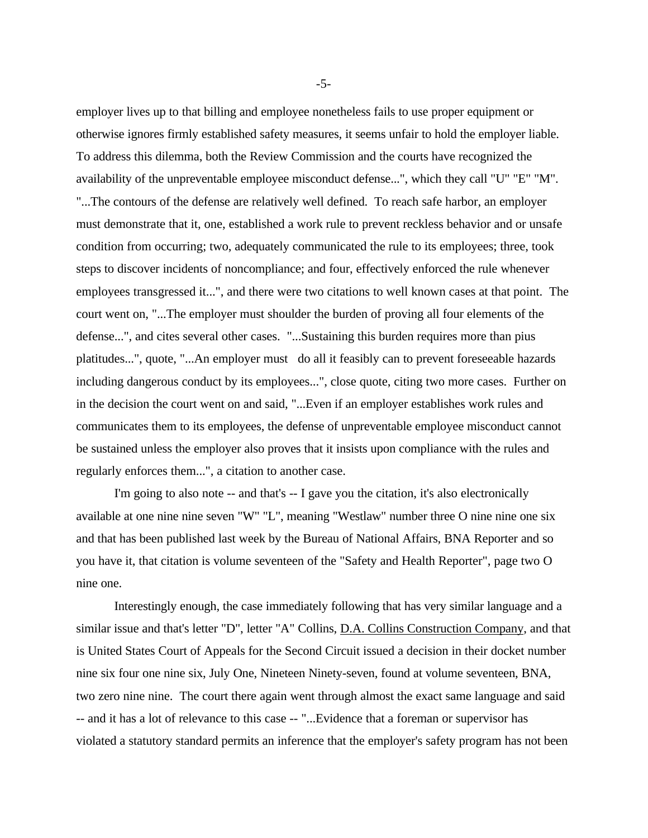employer lives up to that billing and employee nonetheless fails to use proper equipment or otherwise ignores firmly established safety measures, it seems unfair to hold the employer liable. To address this dilemma, both the Review Commission and the courts have recognized the availability of the unpreventable employee misconduct defense...", which they call "U" "E" "M". "...The contours of the defense are relatively well defined. To reach safe harbor, an employer must demonstrate that it, one, established a work rule to prevent reckless behavior and or unsafe condition from occurring; two, adequately communicated the rule to its employees; three, took steps to discover incidents of noncompliance; and four, effectively enforced the rule whenever employees transgressed it...", and there were two citations to well known cases at that point. The court went on, "...The employer must shoulder the burden of proving all four elements of the defense...", and cites several other cases. "...Sustaining this burden requires more than pius platitudes...", quote, "...An employer must do all it feasibly can to prevent foreseeable hazards including dangerous conduct by its employees...", close quote, citing two more cases. Further on in the decision the court went on and said, "...Even if an employer establishes work rules and communicates them to its employees, the defense of unpreventable employee misconduct cannot be sustained unless the employer also proves that it insists upon compliance with the rules and regularly enforces them...", a citation to another case.

I'm going to also note -- and that's -- I gave you the citation, it's also electronically available at one nine nine seven "W" "L", meaning "Westlaw" number three O nine nine one six and that has been published last week by the Bureau of National Affairs, BNA Reporter and so you have it, that citation is volume seventeen of the "Safety and Health Reporter", page two O nine one.

Interestingly enough, the case immediately following that has very similar language and a similar issue and that's letter "D", letter "A" Collins, D.A. Collins Construction Company, and that is United States Court of Appeals for the Second Circuit issued a decision in their docket number nine six four one nine six, July One, Nineteen Ninety-seven, found at volume seventeen, BNA, two zero nine nine. The court there again went through almost the exact same language and said -- and it has a lot of relevance to this case -- "...Evidence that a foreman or supervisor has violated a statutory standard permits an inference that the employer's safety program has not been

-5-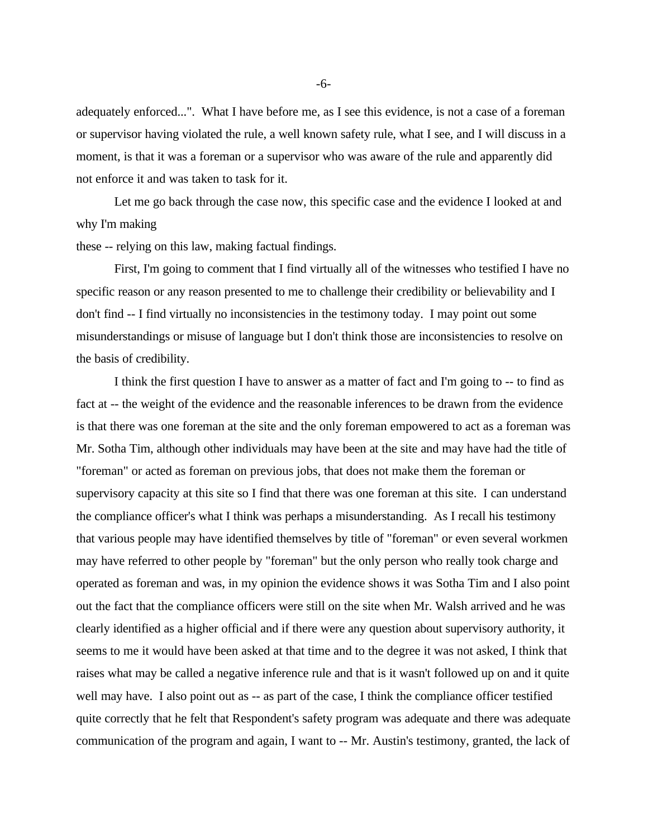adequately enforced...". What I have before me, as I see this evidence, is not a case of a foreman or supervisor having violated the rule, a well known safety rule, what I see, and I will discuss in a moment, is that it was a foreman or a supervisor who was aware of the rule and apparently did not enforce it and was taken to task for it.

Let me go back through the case now, this specific case and the evidence I looked at and why I'm making

these -- relying on this law, making factual findings.

First, I'm going to comment that I find virtually all of the witnesses who testified I have no specific reason or any reason presented to me to challenge their credibility or believability and I don't find -- I find virtually no inconsistencies in the testimony today. I may point out some misunderstandings or misuse of language but I don't think those are inconsistencies to resolve on the basis of credibility.

I think the first question I have to answer as a matter of fact and I'm going to -- to find as fact at -- the weight of the evidence and the reasonable inferences to be drawn from the evidence is that there was one foreman at the site and the only foreman empowered to act as a foreman was Mr. Sotha Tim, although other individuals may have been at the site and may have had the title of "foreman" or acted as foreman on previous jobs, that does not make them the foreman or supervisory capacity at this site so I find that there was one foreman at this site. I can understand the compliance officer's what I think was perhaps a misunderstanding. As I recall his testimony that various people may have identified themselves by title of "foreman" or even several workmen may have referred to other people by "foreman" but the only person who really took charge and operated as foreman and was, in my opinion the evidence shows it was Sotha Tim and I also point out the fact that the compliance officers were still on the site when Mr. Walsh arrived and he was clearly identified as a higher official and if there were any question about supervisory authority, it seems to me it would have been asked at that time and to the degree it was not asked, I think that raises what may be called a negative inference rule and that is it wasn't followed up on and it quite well may have. I also point out as -- as part of the case, I think the compliance officer testified quite correctly that he felt that Respondent's safety program was adequate and there was adequate communication of the program and again, I want to -- Mr. Austin's testimony, granted, the lack of

-6-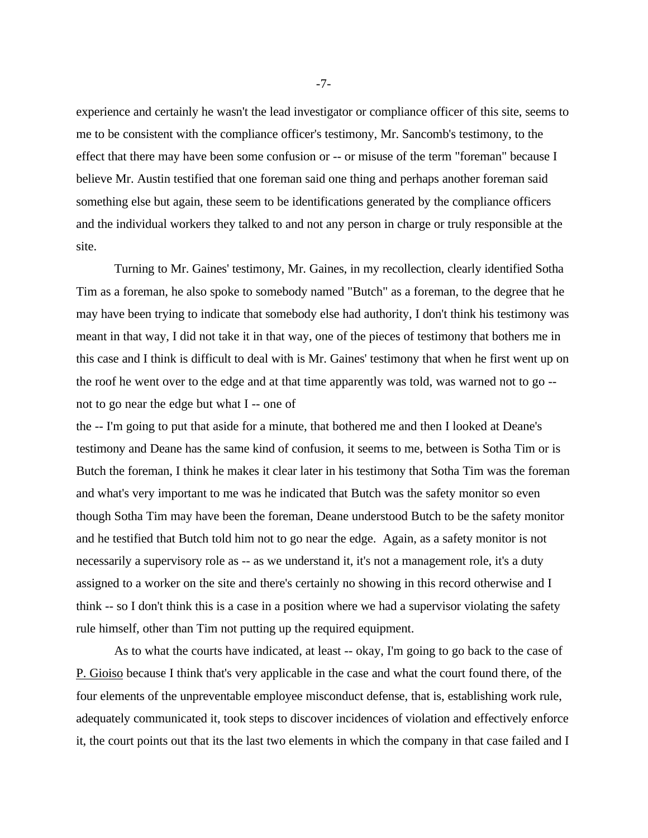experience and certainly he wasn't the lead investigator or compliance officer of this site, seems to me to be consistent with the compliance officer's testimony, Mr. Sancomb's testimony, to the effect that there may have been some confusion or -- or misuse of the term "foreman" because I believe Mr. Austin testified that one foreman said one thing and perhaps another foreman said something else but again, these seem to be identifications generated by the compliance officers and the individual workers they talked to and not any person in charge or truly responsible at the site.

Turning to Mr. Gaines' testimony, Mr. Gaines, in my recollection, clearly identified Sotha Tim as a foreman, he also spoke to somebody named "Butch" as a foreman, to the degree that he may have been trying to indicate that somebody else had authority, I don't think his testimony was meant in that way, I did not take it in that way, one of the pieces of testimony that bothers me in this case and I think is difficult to deal with is Mr. Gaines' testimony that when he first went up on the roof he went over to the edge and at that time apparently was told, was warned not to go - not to go near the edge but what I -- one of

the -- I'm going to put that aside for a minute, that bothered me and then I looked at Deane's testimony and Deane has the same kind of confusion, it seems to me, between is Sotha Tim or is Butch the foreman, I think he makes it clear later in his testimony that Sotha Tim was the foreman and what's very important to me was he indicated that Butch was the safety monitor so even though Sotha Tim may have been the foreman, Deane understood Butch to be the safety monitor and he testified that Butch told him not to go near the edge. Again, as a safety monitor is not necessarily a supervisory role as -- as we understand it, it's not a management role, it's a duty assigned to a worker on the site and there's certainly no showing in this record otherwise and I think -- so I don't think this is a case in a position where we had a supervisor violating the safety rule himself, other than Tim not putting up the required equipment.

As to what the courts have indicated, at least -- okay, I'm going to go back to the case of P. Gioiso because I think that's very applicable in the case and what the court found there, of the four elements of the unpreventable employee misconduct defense, that is, establishing work rule, adequately communicated it, took steps to discover incidences of violation and effectively enforce it, the court points out that its the last two elements in which the company in that case failed and I

-7-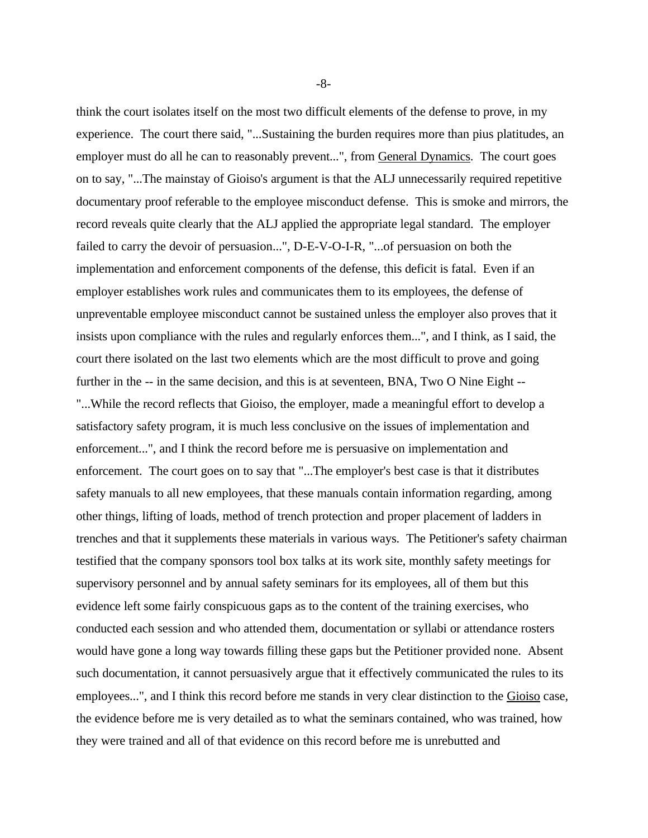think the court isolates itself on the most two difficult elements of the defense to prove, in my experience. The court there said, "...Sustaining the burden requires more than pius platitudes, an employer must do all he can to reasonably prevent...", from General Dynamics. The court goes on to say, "...The mainstay of Gioiso's argument is that the ALJ unnecessarily required repetitive documentary proof referable to the employee misconduct defense. This is smoke and mirrors, the record reveals quite clearly that the ALJ applied the appropriate legal standard. The employer failed to carry the devoir of persuasion...", D-E-V-O-I-R, "...of persuasion on both the implementation and enforcement components of the defense, this deficit is fatal. Even if an employer establishes work rules and communicates them to its employees, the defense of unpreventable employee misconduct cannot be sustained unless the employer also proves that it insists upon compliance with the rules and regularly enforces them...", and I think, as I said, the court there isolated on the last two elements which are the most difficult to prove and going further in the -- in the same decision, and this is at seventeen, BNA, Two O Nine Eight --"...While the record reflects that Gioiso, the employer, made a meaningful effort to develop a satisfactory safety program, it is much less conclusive on the issues of implementation and enforcement...", and I think the record before me is persuasive on implementation and enforcement. The court goes on to say that "...The employer's best case is that it distributes safety manuals to all new employees, that these manuals contain information regarding, among other things, lifting of loads, method of trench protection and proper placement of ladders in trenches and that it supplements these materials in various ways. The Petitioner's safety chairman testified that the company sponsors tool box talks at its work site, monthly safety meetings for supervisory personnel and by annual safety seminars for its employees, all of them but this evidence left some fairly conspicuous gaps as to the content of the training exercises, who conducted each session and who attended them, documentation or syllabi or attendance rosters would have gone a long way towards filling these gaps but the Petitioner provided none. Absent such documentation, it cannot persuasively argue that it effectively communicated the rules to its employees...", and I think this record before me stands in very clear distinction to the Gioiso case, the evidence before me is very detailed as to what the seminars contained, who was trained, how they were trained and all of that evidence on this record before me is unrebutted and

-8-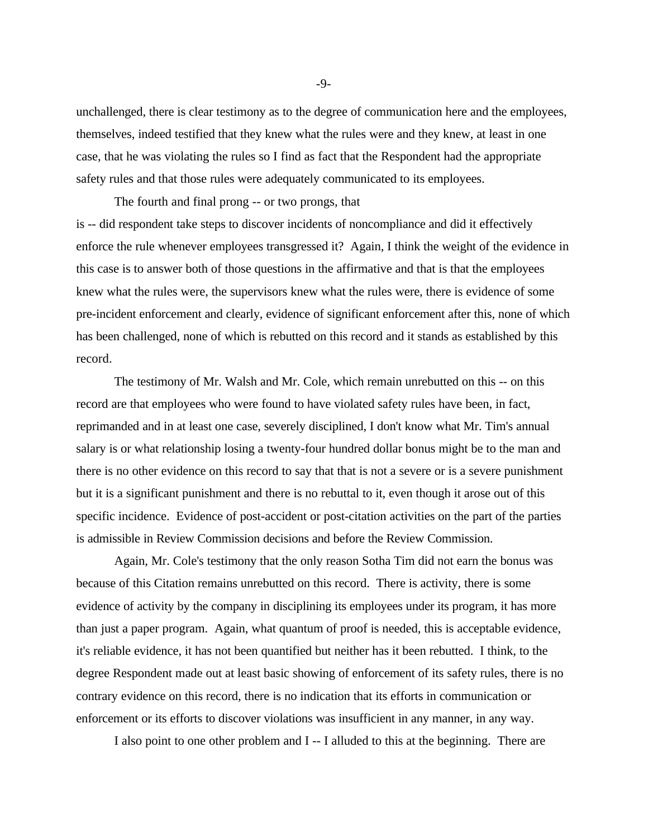unchallenged, there is clear testimony as to the degree of communication here and the employees, themselves, indeed testified that they knew what the rules were and they knew, at least in one case, that he was violating the rules so I find as fact that the Respondent had the appropriate safety rules and that those rules were adequately communicated to its employees.

The fourth and final prong -- or two prongs, that is -- did respondent take steps to discover incidents of noncompliance and did it effectively enforce the rule whenever employees transgressed it? Again, I think the weight of the evidence in this case is to answer both of those questions in the affirmative and that is that the employees knew what the rules were, the supervisors knew what the rules were, there is evidence of some pre-incident enforcement and clearly, evidence of significant enforcement after this, none of which has been challenged, none of which is rebutted on this record and it stands as established by this record.

The testimony of Mr. Walsh and Mr. Cole, which remain unrebutted on this -- on this record are that employees who were found to have violated safety rules have been, in fact, reprimanded and in at least one case, severely disciplined, I don't know what Mr. Tim's annual salary is or what relationship losing a twenty-four hundred dollar bonus might be to the man and there is no other evidence on this record to say that that is not a severe or is a severe punishment but it is a significant punishment and there is no rebuttal to it, even though it arose out of this specific incidence. Evidence of post-accident or post-citation activities on the part of the parties is admissible in Review Commission decisions and before the Review Commission.

Again, Mr. Cole's testimony that the only reason Sotha Tim did not earn the bonus was because of this Citation remains unrebutted on this record. There is activity, there is some evidence of activity by the company in disciplining its employees under its program, it has more than just a paper program. Again, what quantum of proof is needed, this is acceptable evidence, it's reliable evidence, it has not been quantified but neither has it been rebutted. I think, to the degree Respondent made out at least basic showing of enforcement of its safety rules, there is no contrary evidence on this record, there is no indication that its efforts in communication or enforcement or its efforts to discover violations was insufficient in any manner, in any way.

I also point to one other problem and I -- I alluded to this at the beginning. There are

-9-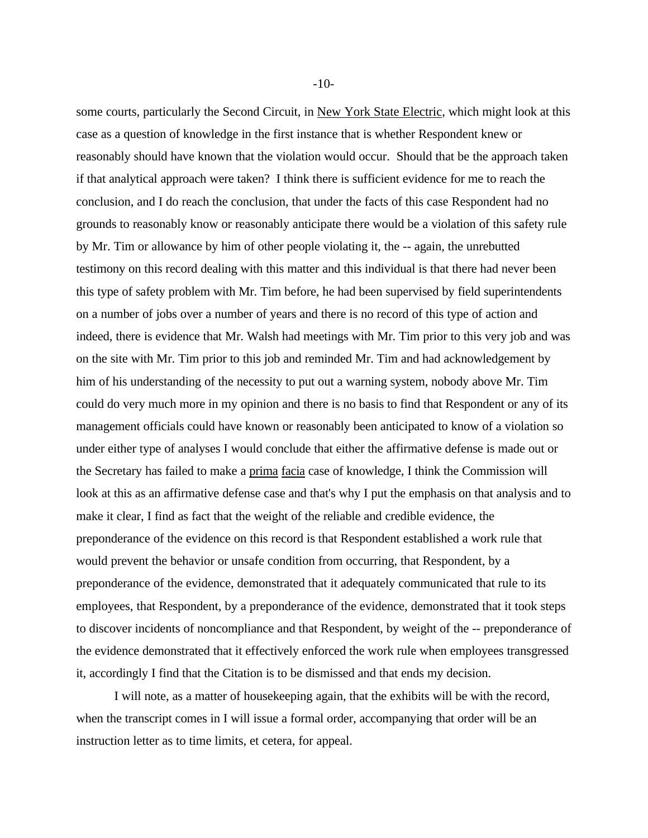some courts, particularly the Second Circuit, in New York State Electric, which might look at this case as a question of knowledge in the first instance that is whether Respondent knew or reasonably should have known that the violation would occur. Should that be the approach taken if that analytical approach were taken? I think there is sufficient evidence for me to reach the conclusion, and I do reach the conclusion, that under the facts of this case Respondent had no grounds to reasonably know or reasonably anticipate there would be a violation of this safety rule by Mr. Tim or allowance by him of other people violating it, the -- again, the unrebutted testimony on this record dealing with this matter and this individual is that there had never been this type of safety problem with Mr. Tim before, he had been supervised by field superintendents on a number of jobs over a number of years and there is no record of this type of action and indeed, there is evidence that Mr. Walsh had meetings with Mr. Tim prior to this very job and was on the site with Mr. Tim prior to this job and reminded Mr. Tim and had acknowledgement by him of his understanding of the necessity to put out a warning system, nobody above Mr. Tim could do very much more in my opinion and there is no basis to find that Respondent or any of its management officials could have known or reasonably been anticipated to know of a violation so under either type of analyses I would conclude that either the affirmative defense is made out or the Secretary has failed to make a prima facia case of knowledge, I think the Commission will look at this as an affirmative defense case and that's why I put the emphasis on that analysis and to make it clear, I find as fact that the weight of the reliable and credible evidence, the preponderance of the evidence on this record is that Respondent established a work rule that would prevent the behavior or unsafe condition from occurring, that Respondent, by a preponderance of the evidence, demonstrated that it adequately communicated that rule to its employees, that Respondent, by a preponderance of the evidence, demonstrated that it took steps to discover incidents of noncompliance and that Respondent, by weight of the -- preponderance of the evidence demonstrated that it effectively enforced the work rule when employees transgressed it, accordingly I find that the Citation is to be dismissed and that ends my decision.

I will note, as a matter of housekeeping again, that the exhibits will be with the record, when the transcript comes in I will issue a formal order, accompanying that order will be an instruction letter as to time limits, et cetera, for appeal.